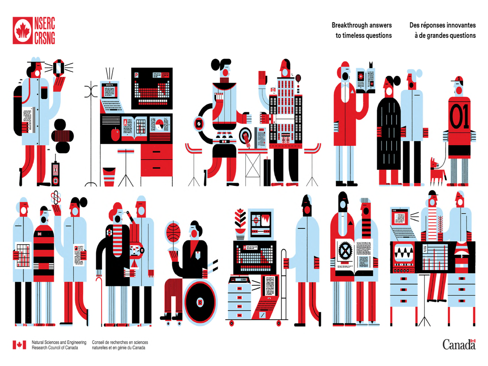

Breakthrough answers to timeless questions Des réponses innovantes à de grandes questions



Natural Sciences and Engineering<br>Research Council of Canada  $\blacktriangleright$ 

Canada<sup>1</sup>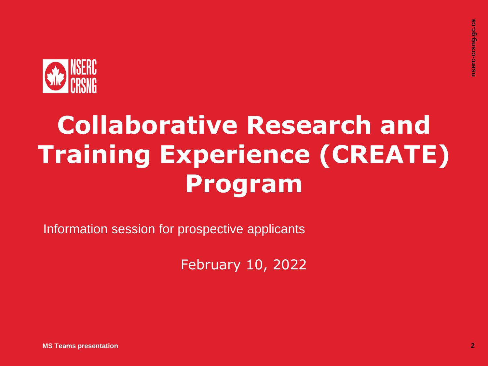

# **Collaborative Research and Training Experience (CREATE) Program**

Information session for prospective applicants

February 10, 2022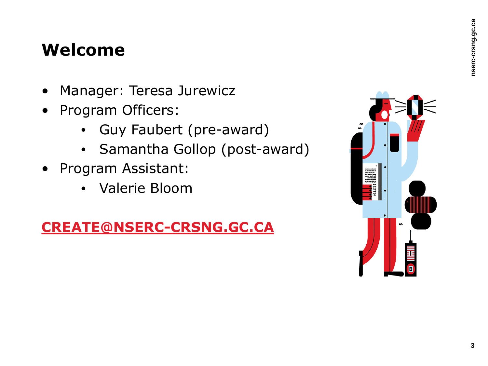#### **Welcome**

- Manager: Teresa Jurewicz
- Program Officers:
	- Guy Faubert (pre-award)
	- Samantha Gollop (post-award)
- Program Assistant:
	- Valerie Bloom

#### **[CREATE@NSERC-CRSNG.GC.CA](file:///\ottanvdifs01VDI_UserDatavblAppDataRoamingOpenTextOTEditEC_cs971c48906123CREATE%40NSERC-CRSNG.GC.CA)**

| ×.<br>羅<br>ı |   |
|--------------|---|
|              | O |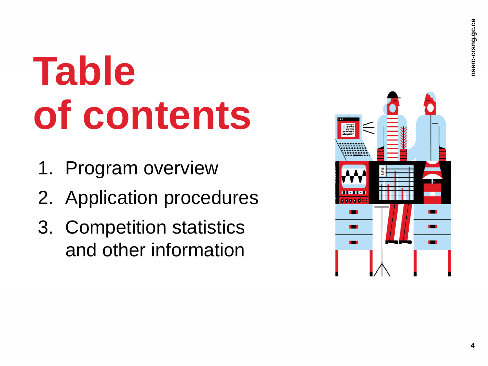# **Table of contents**

- 1. Program overview
- 2. Application procedures
- 3. Competition statistics and other information

| $\bullet$<br>000<br>a.                     | $\sim$<br>٠<br>٠<br>٠ |  |
|--------------------------------------------|-----------------------|--|
| <b><i><u>BIRD LIGHT</u></i></b><br>0000000 | E                     |  |
|                                            |                       |  |
|                                            |                       |  |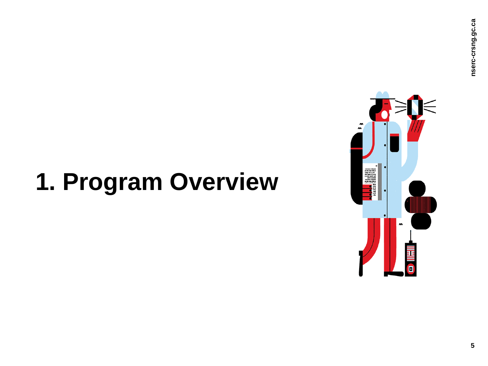# **1. Program Overview**

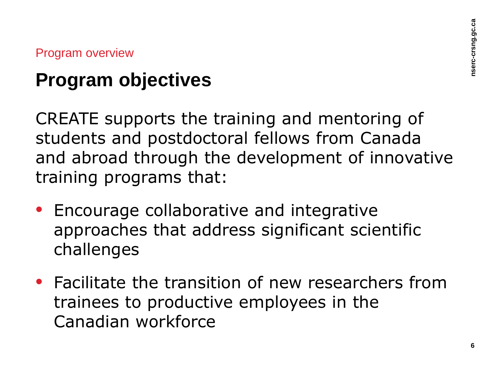### **Program objectives**

CREATE supports the training and mentoring of students and postdoctoral fellows from Canada and abroad through the development of innovative training programs that:

- Encourage collaborative and integrative approaches that address significant scientific challenges
- Facilitate the transition of new researchers from trainees to productive employees in the Canadian workforce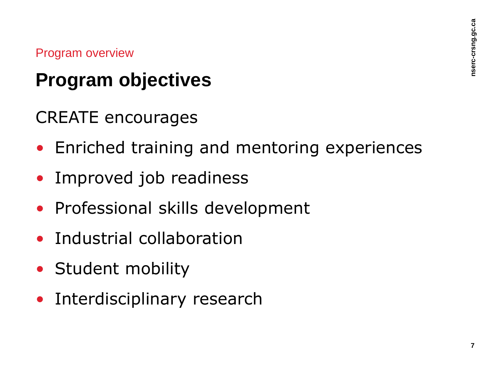### **Program objectives**

CREATE encourages

- Enriched training and mentoring experiences
- Improved job readiness
- Professional skills development
- Industrial collaboration
- Student mobility
- Interdisciplinary research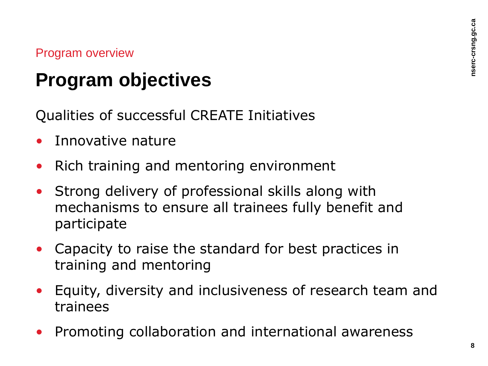#### **Program objectives**

Qualities of successful CREATE Initiatives

- Innovative nature
- Rich training and mentoring environment
- Strong delivery of professional skills along with mechanisms to ensure all trainees fully benefit and participate
- Capacity to raise the standard for best practices in training and mentoring
- Equity, diversity and inclusiveness of research team and trainees
- Promoting collaboration and international awareness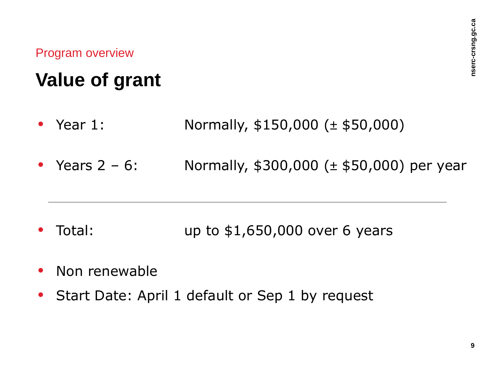### **Value of grant**

- Year 1: Normally, \$150,000 (± \$50,000)
- Years  $2 6$ : Normally, \$300,000 ( $\pm$  \$50,000) per year

- Total: **up to \$1,650,000** over 6 years
- Non renewable
- Start Date: April 1 default or Sep 1 by request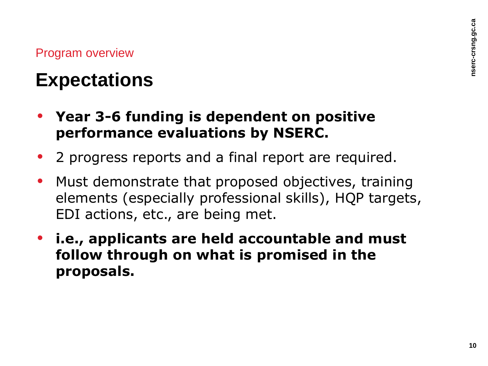#### **Expectations**

- **Year 3-6 funding is dependent on positive performance evaluations by NSERC.**
- 2 progress reports and a final report are required.
- Must demonstrate that proposed objectives, training elements (especially professional skills), HQP targets, EDI actions, etc., are being met.
- **i.e., applicants are held accountable and must follow through on what is promised in the proposals.**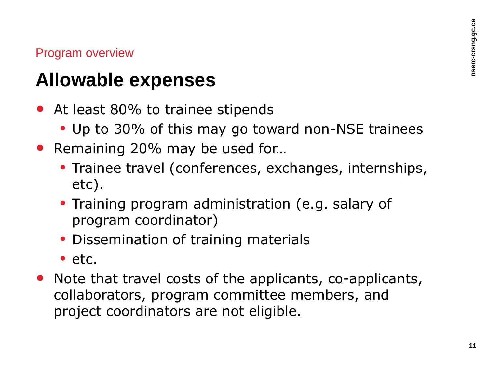#### **Allowable expenses**

- At least 80% to trainee stipends
	- Up to 30% of this may go toward non-NSE trainees
- Remaining 20% may be used for...
	- Trainee travel (conferences, exchanges, internships, etc).
	- Training program administration (e.g. salary of program coordinator)
	- Dissemination of training materials
	- $\bullet$  etc.
- Note that travel costs of the applicants, co-applicants, collaborators, program committee members, and project coordinators are not eligible.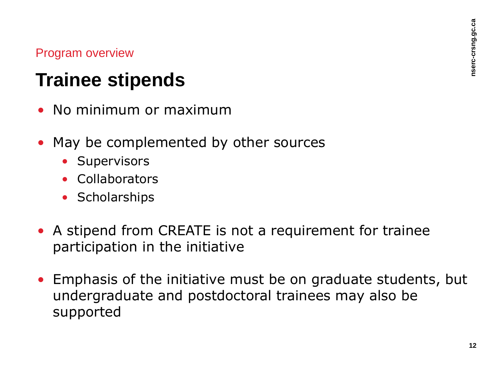#### **Trainee stipends**

- No minimum or maximum
- May be complemented by other sources
	- Supervisors
	- Collaborators
	- Scholarships
- A stipend from CREATE is not a requirement for trainee participation in the initiative
- Emphasis of the initiative must be on graduate students, but undergraduate and postdoctoral trainees may also be supported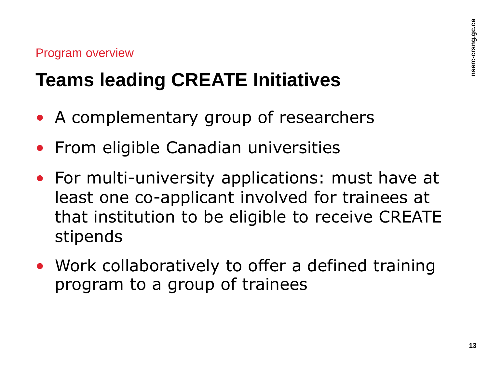### **Teams leading CREATE Initiatives**

- A complementary group of researchers
- From eligible Canadian universities
- For multi-university applications: must have at least one co-applicant involved for trainees at that institution to be eligible to receive CREATE stipends
- Work collaboratively to offer a defined training program to a group of trainees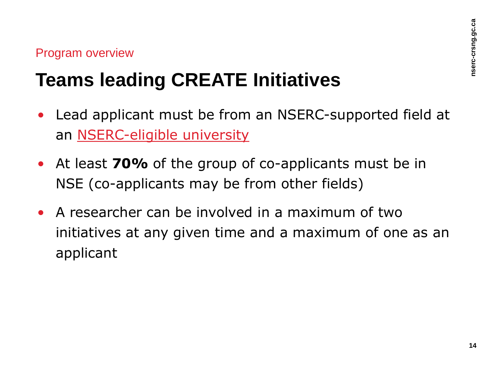### **Teams leading CREATE Initiatives**

- Lead applicant must be from an NSERC-supported field at an [NSERC-eligible university](https://www.nserc-crsng.gc.ca/NSERC-CRSNG/Eligibility-Admissibilite/listeligibleinstitutions-listetablissementsadmissible_eng.asp)
- At least **70%** of the group of co-applicants must be in NSE (co-applicants may be from other fields)
- A researcher can be involved in a maximum of two initiatives at any given time and a maximum of one as an applicant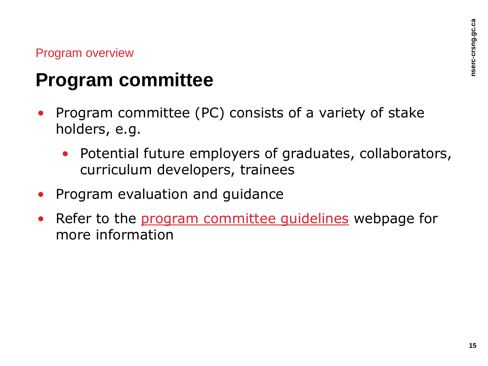#### **Program committee**

- Program committee (PC) consists of a variety of stake holders, e.g.
	- Potential future employers of graduates, collaborators, curriculum developers, trainees
- Program evaluation and guidance
- Refer to the program committee quidelines webpage for more information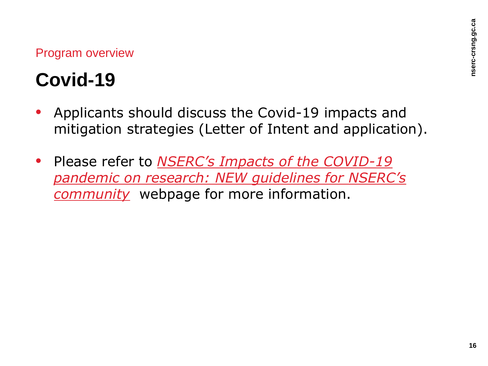### **Covid-19**

- Applicants should discuss the Covid-19 impacts and mitigation strategies (Letter of Intent and application).
- Please refer to *[NSERC's Impacts of the COVID-19](https://www.nserc-crsng.gc.ca/NSERC-CRSNG/Policies-Politiques/COVID-COVID_eng.asp) [pandemic on research: NEW guidelines for NSERC's](https://www.nserc-crsng.gc.ca/NSERC-CRSNG/Policies-Politiques/COVID-COVID_eng.asp)  [community](https://www.nserc-crsng.gc.ca/NSERC-CRSNG/Policies-Politiques/COVID-COVID_eng.asp)* webpage for more information.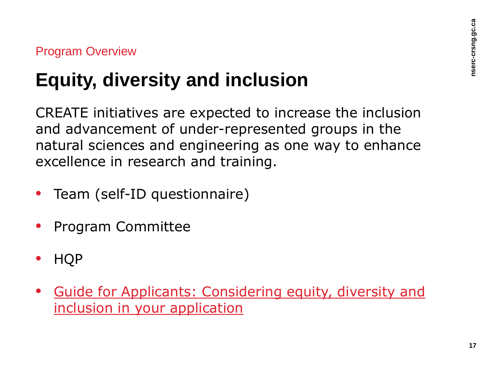### **Equity, diversity and inclusion**

CREATE initiatives are expected to increase the inclusion and advancement of under-represented groups in the natural sciences and engineering as one way to enhance excellence in research and training.

- Team (self-ID questionnaire)
- Program Committee
- HQP
- [Guide for Applicants: Considering equity, diversity and](https://www.nserc-crsng.gc.ca/_doc/EDI/Guide_for_Applicants_EN.pdf)  [inclusion in your application](https://www.nserc-crsng.gc.ca/_doc/EDI/Guide_for_Applicants_EN.pdf)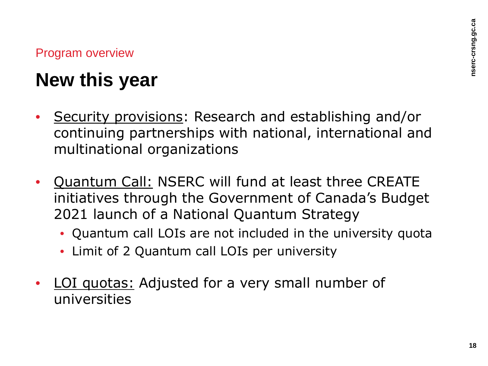### **New this year**

- Security provisions: Research and establishing and/or continuing partnerships with national, international and multinational organizations
- Quantum Call: NSERC will fund at least three CREATE initiatives through the Government of Canada's Budget 2021 launch of a National Quantum Strategy
	- Quantum call LOIs are not included in the university quota
	- Limit of 2 Quantum call LOIs per university
- LOI quotas: Adjusted for a very small number of universities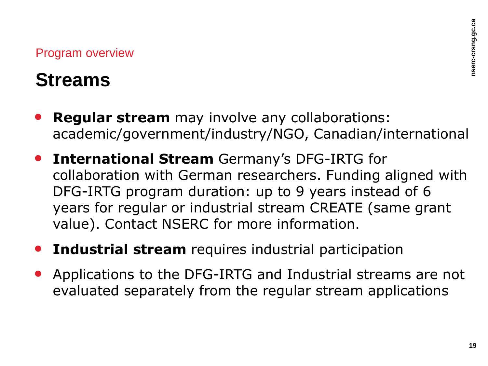#### **Streams**

- **Regular stream** may involve any collaborations: academic/government/industry/NGO, Canadian/international
- **International Stream** Germany's DFG-IRTG for collaboration with German researchers. Funding aligned with DFG-IRTG program duration: up to 9 years instead of 6 years for regular or industrial stream CREATE (same grant value). Contact NSERC for more information.
- **Industrial stream** requires industrial participation
- Applications to the DFG-IRTG and Industrial streams are not evaluated separately from the regular stream applications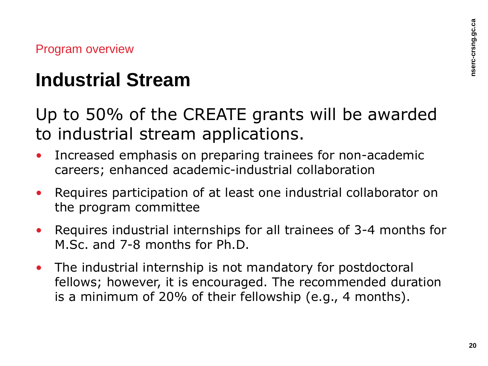#### **Industrial Stream**

Up to 50% of the CREATE grants will be awarded to industrial stream applications.

- Increased emphasis on preparing trainees for non-academic careers; enhanced academic-industrial collaboration
- Requires participation of at least one industrial collaborator on the program committee
- Requires industrial internships for all trainees of 3-4 months for M.Sc. and 7-8 months for Ph.D.
- The industrial internship is not mandatory for postdoctoral fellows; however, it is encouraged. The recommended duration is a minimum of 20% of their fellowship (e.g., 4 months).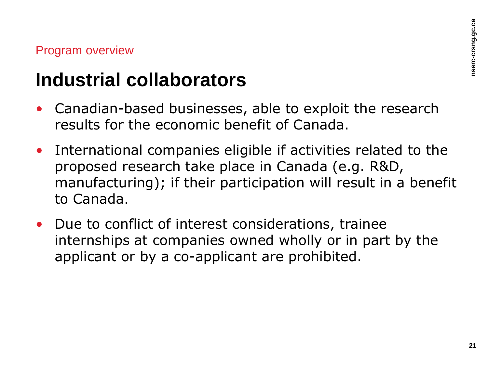#### **Industrial collaborators**

- Canadian-based businesses, able to exploit the research results for the economic benefit of Canada.
- International companies eligible if activities related to the proposed research take place in Canada (e.g. R&D, manufacturing); if their participation will result in a benefit to Canada.
- Due to conflict of interest considerations, trainee internships at companies owned wholly or in part by the applicant or by a co-applicant are prohibited.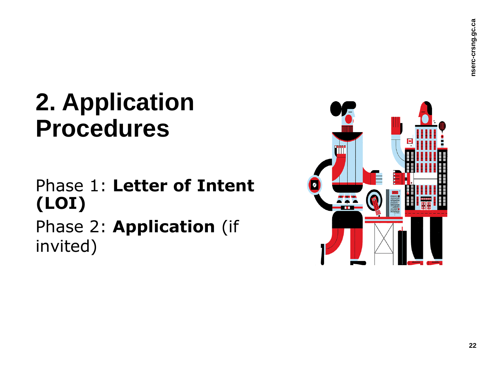#### Phase 1: **Letter of Intent (LOI)**

Phase 2: **Application** (if invited)

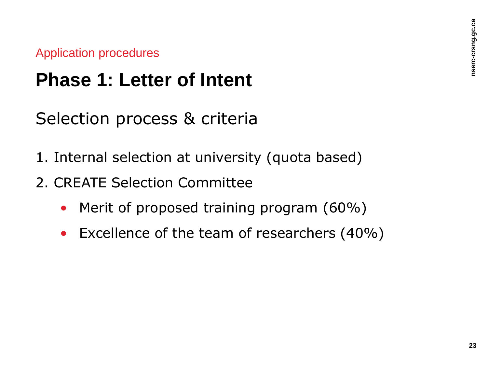#### **Phase 1: Letter of Intent**

Selection process & criteria

- 1. Internal selection at university (quota based)
- 2. CREATE Selection Committee
	- Merit of proposed training program (60%)
	- Excellence of the team of researchers (40%)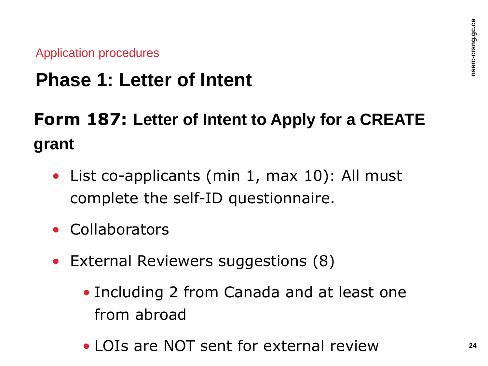#### **Phase 1: Letter of Intent**

**Form 187: Letter of Intent to Apply for a CREATE grant**

- List co-applicants (min 1, max 10): All must complete the self-ID questionnaire.
- Collaborators
- External Reviewers suggestions (8)
	- Including 2 from Canada and at least one from abroad
	- LOIs are NOT sent for external review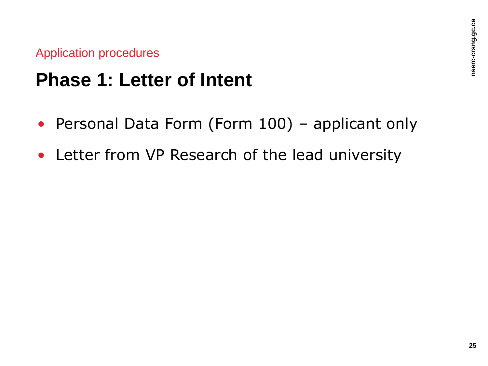#### **Phase 1: Letter of Intent**

- Personal Data Form (Form 100) applicant only
- Letter from VP Research of the lead university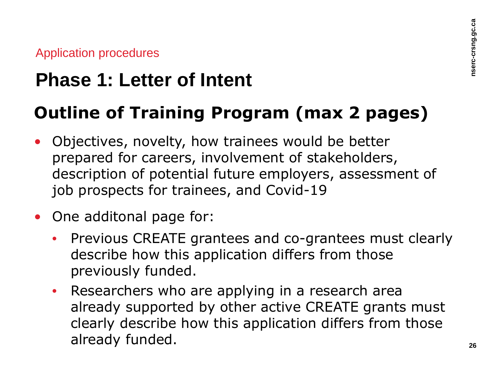### **Phase 1: Letter of Intent**

#### **Outline of Training Program (max 2 pages)**

- Objectives, novelty, how trainees would be better prepared for careers, involvement of stakeholders, description of potential future employers, assessment of job prospects for trainees, and Covid-19
- One additonal page for:
	- Previous CREATE grantees and co-grantees must clearly describe how this application differs from those previously funded.
	- Researchers who are applying in a research area already supported by other active CREATE grants must clearly describe how this application differs from those already funded.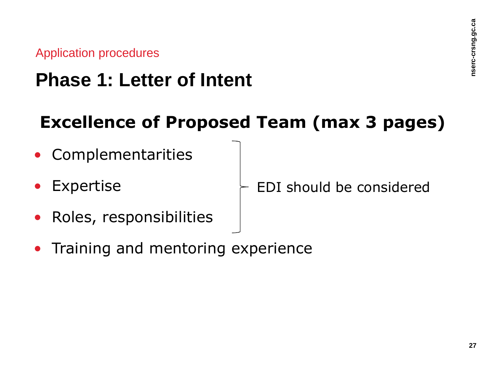#### **Phase 1: Letter of Intent**

#### **Excellence of Proposed Team (max 3 pages)**

- Complementarities
- **Expertise**

EDI should be considered

- Roles, responsibilities
- Training and mentoring experience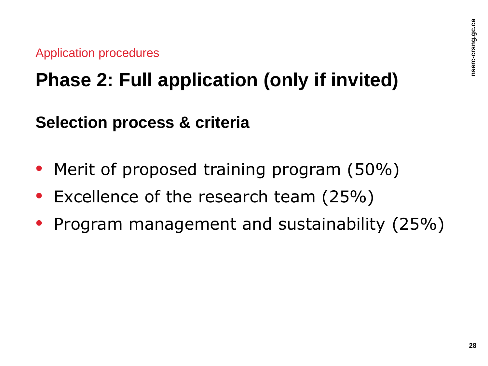### **Phase 2: Full application (only if invited)**

#### **Selection process & criteria**

- Merit of proposed training program (50%)
- Excellence of the research team (25%)
- Program management and sustainability (25%)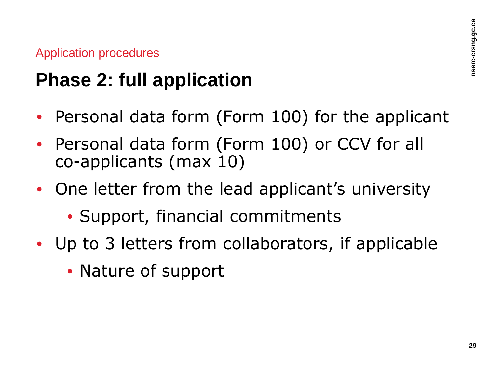### **Phase 2: full application**

- Personal data form (Form 100) for the applicant
- Personal data form (Form 100) or CCV for all co-applicants (max 10)
- One letter from the lead applicant's university
	- Support, financial commitments
- Up to 3 letters from collaborators, if applicable
	- Nature of support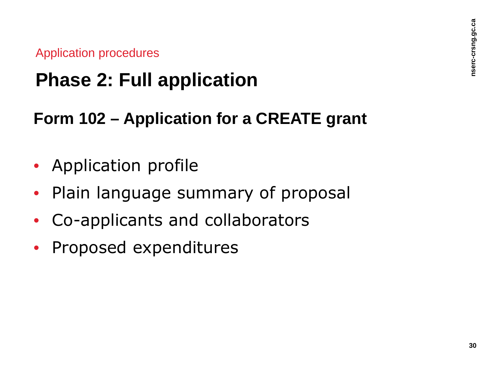### **Phase 2: Full application**

#### **Form 102 – Application for a CREATE grant**

- Application profile
- Plain language summary of proposal
- Co-applicants and collaborators
- Proposed expenditures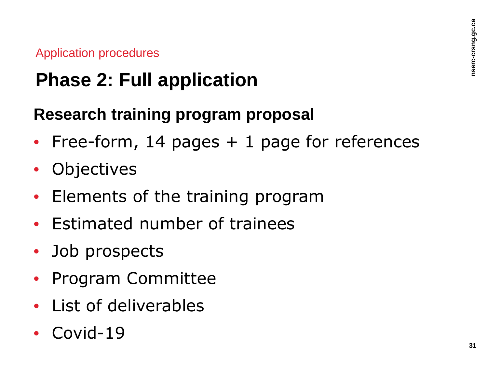### **Phase 2: Full application**

#### **Research training program proposal**

- Free-form, 14 pages  $+$  1 page for references
- **Objectives**
- Elements of the training program
- Estimated number of trainees
- Job prospects
- Program Committee
- List of deliverables
- Covid-19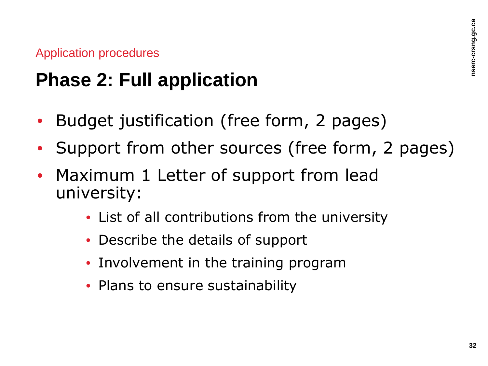### **Phase 2: Full application**

- Budget justification (free form, 2 pages)
- Support from other sources (free form, 2 pages)
- Maximum 1 Letter of support from lead university:
	- List of all contributions from the university
	- Describe the details of support
	- Involvement in the training program
	- Plans to ensure sustainability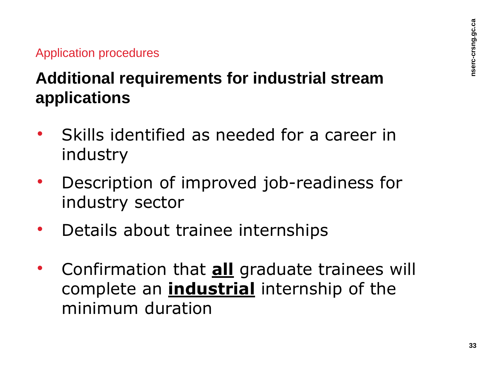#### **Additional requirements for industrial stream applications**

- Skills identified as needed for a career in industry
- Description of improved job-readiness for industry sector
- Details about trainee internships
- Confirmation that **all** graduate trainees will complete an **industrial** internship of the minimum duration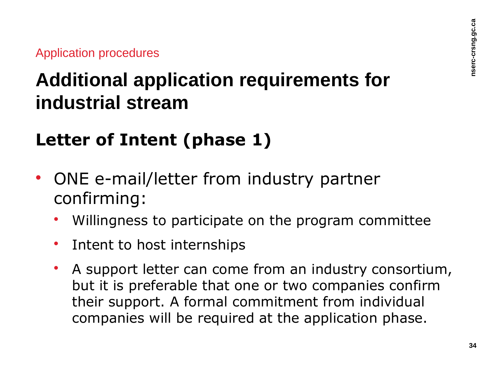### **Additional application requirements for industrial stream**

#### **Letter of Intent (phase 1)**

- ONE e-mail/letter from industry partner confirming:
	- Willingness to participate on the program committee
	- Intent to host internships
	- A support letter can come from an industry consortium, but it is preferable that one or two companies confirm their support. A formal commitment from individual companies will be required at the application phase.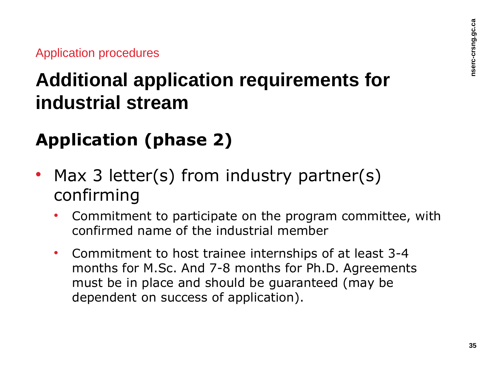### **Additional application requirements for industrial stream**

#### **Application (phase 2)**

- Max 3 letter(s) from industry partner(s) confirming
	- Commitment to participate on the program committee, with confirmed name of the industrial member
	- Commitment to host trainee internships of at least 3-4 months for M.Sc. And 7-8 months for Ph.D. Agreements must be in place and should be guaranteed (may be dependent on success of application).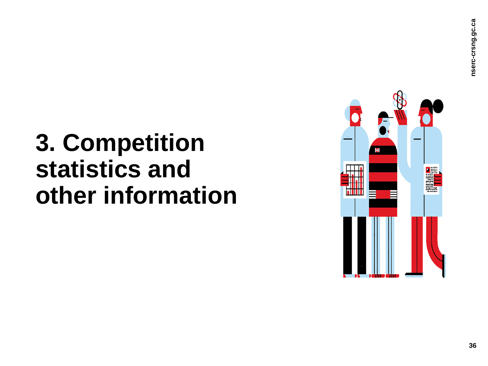# **3. Competition statistics and other information**

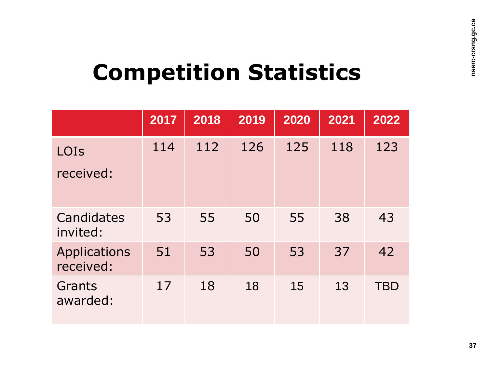# **Competition Statistics**

|                                  | 2017 | 2018 | 2019 | 2020 | 2021 | 2022       |
|----------------------------------|------|------|------|------|------|------------|
| LOIS<br>received:                | 114  | 112  | 126  | 125  | 118  | 123        |
| Candidates<br>invited:           | 53   | 55   | 50   | 55   | 38   | 43         |
| <b>Applications</b><br>received: | 51   | 53   | 50   | 53   | 37   | 42         |
| Grants<br>awarded:               | 17   | 18   | 18   | 15   | 13   | <b>TBD</b> |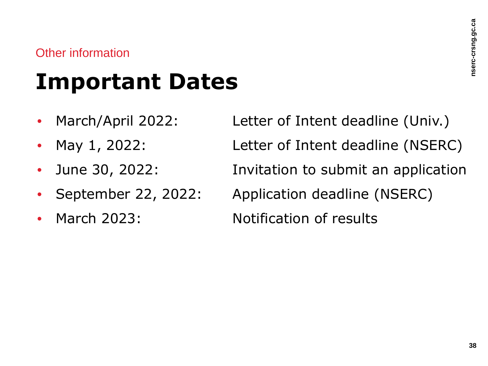#### Other information

# **Important Dates**

- 
- 
- 
- 
- 

• March/April 2022: Letter of Intent deadline (Univ.) • May 1, 2022: Letter of Intent deadline (NSERC) • June 30, 2022: Invitation to submit an application • September 22, 2022: Application deadline (NSERC) • March 2023: Notification of results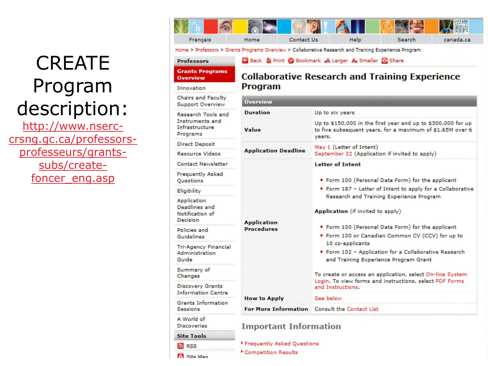### **CREATE** Program description:

[http://www.nserc](http://www.nserc-crsng.gc.ca/professors-professeurs/grants-subs/create-foncer_eng.asp)[crsng.gc.ca/professors](http://www.nserc-crsng.gc.ca/professors-professeurs/grants-subs/create-foncer_eng.asp)[professeurs/grants](http://www.nserc-crsng.gc.ca/professors-professeurs/grants-subs/create-foncer_eng.asp)[subs/create](http://www.nserc-crsng.gc.ca/professors-professeurs/grants-subs/create-foncer_eng.asp)[foncer\\_eng.asp](http://www.nserc-crsng.gc.ca/professors-professeurs/grants-subs/create-foncer_eng.asp)

| Francais                                                                                              | Home | Contact Us                                           | <b>Help</b> | Search                                         | canada.ca |
|-------------------------------------------------------------------------------------------------------|------|------------------------------------------------------|-------------|------------------------------------------------|-----------|
| Home > Professors > Grants Programs Overview > Collaborative Research and Training Experience Program |      |                                                      |             |                                                |           |
| <b>Professors</b>                                                                                     |      | C Back B Print C Bookmark A Larger A Smaller G Share |             |                                                |           |
| <b>Grants Programs</b>                                                                                |      |                                                      |             | Callaboustive Because and Tuaining Evangelance |           |

#### **Professors**

**M. Site Man** 

#### **Grants Programs Collaborative Research and Training Experience Overview Program** Innovation **Chairs and Faculty Overview Support Overview Duration** Up to six years **Research Tools and** Instruments and Up to \$150,000 in the first year and up to \$300,000 for up Infrastructure Value to five subsequent years, for a maximum of \$1.65M over 6 Programs years. **Direct Deposit** May 1 (Letter of Intent) **Application Deadline Resource Videos** September 22 (Application if invited to apply) **Contact Newsletter Letter of Intent Frequently Asked** Form 100 (Personal Data Form) for the applicant Questions Form 187 - Letter of Intent to apply for a Collaborative Eligibility Research and Training Experience Program Application Deadlines and Application (if invited to apply) Notification of **Decision Application** Form 100 (Personal Data Form) for the applicant **Procedures** Policies and Form 100 or Canadian Common CV (CCV) for up to Guidelines 10 co-applicants **Tri-Agency Financial** Form 102 - Application for a Collaborative Research **Administration** Guide and Training Experience Program Grant Summary of To create or access an application, select On-line System Changes Login. To view forms and instructions, select PDF Forms **Discovery Grants** and Instructions. **Information Centre** See below **How to Apply Grants Information** For More Information Consult the Contact List **Sessions** A World of **Discoveries Important Information Site Tools** Frequently Asked Questions **A** RSS

\* Competition Results